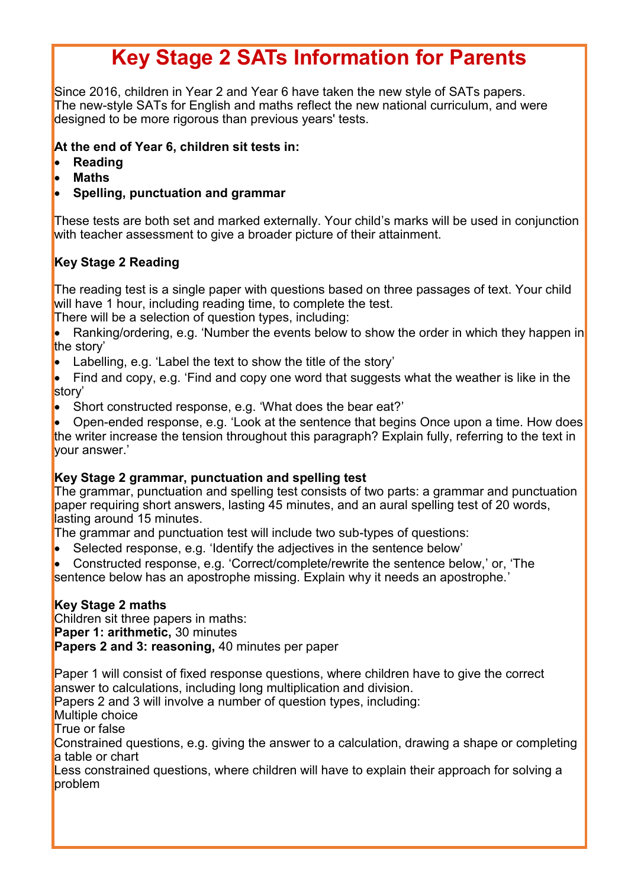# **Key Stage 2 SATs Information for Parents**

Since 2016, children in Year 2 and Year 6 have taken the new style of SATs papers. The new-style SATs for English and maths reflect the new national curriculum, and were designed to be more rigorous than previous years' tests.

### **At the end of Year 6, children sit tests in:**

- **Reading**
- **Maths**

### • **Spelling, punctuation and grammar**

These tests are both set and marked externally. Your child's marks will be used in conjunction with teacher assessment to give a broader picture of their attainment.

### **Key Stage 2 Reading**

The reading test is a single paper with questions based on three passages of text. Your child will have 1 hour, including reading time, to complete the test.

There will be a selection of question types, including:

Ranking/ordering, e.g. 'Number the events below to show the order in which they happen in the story'

- Labelling, e.g. 'Label the text to show the title of the story'
- Find and copy, e.g. 'Find and copy one word that suggests what the weather is like in the story'
- Short constructed response, e.g. 'What does the bear eat?'

• Open-ended response, e.g. 'Look at the sentence that begins Once upon a time. How does the writer increase the tension throughout this paragraph? Explain fully, referring to the text in your answer.'

### **Key Stage 2 grammar, punctuation and spelling test**

The grammar, punctuation and spelling test consists of two parts: a grammar and punctuation paper requiring short answers, lasting 45 minutes, and an aural spelling test of 20 words, lasting around 15 minutes.

The grammar and punctuation test will include two sub-types of questions:

- Selected response, e.g. 'Identify the adjectives in the sentence below'
- Constructed response, e.g. 'Correct/complete/rewrite the sentence below,' or, 'The

sentence below has an apostrophe missing. Explain why it needs an apostrophe.'

### **Key Stage 2 maths**

Children sit three papers in maths:

**Paper 1: arithmetic,** 30 minutes

**Papers 2 and 3: reasoning,** 40 minutes per paper

Paper 1 will consist of fixed response questions, where children have to give the correct answer to calculations, including long multiplication and division.

Papers 2 and 3 will involve a number of question types, including:

Multiple choice

True or false

Constrained questions, e.g. giving the answer to a calculation, drawing a shape or completing a table or chart

Less constrained questions, where children will have to explain their approach for solving a problem